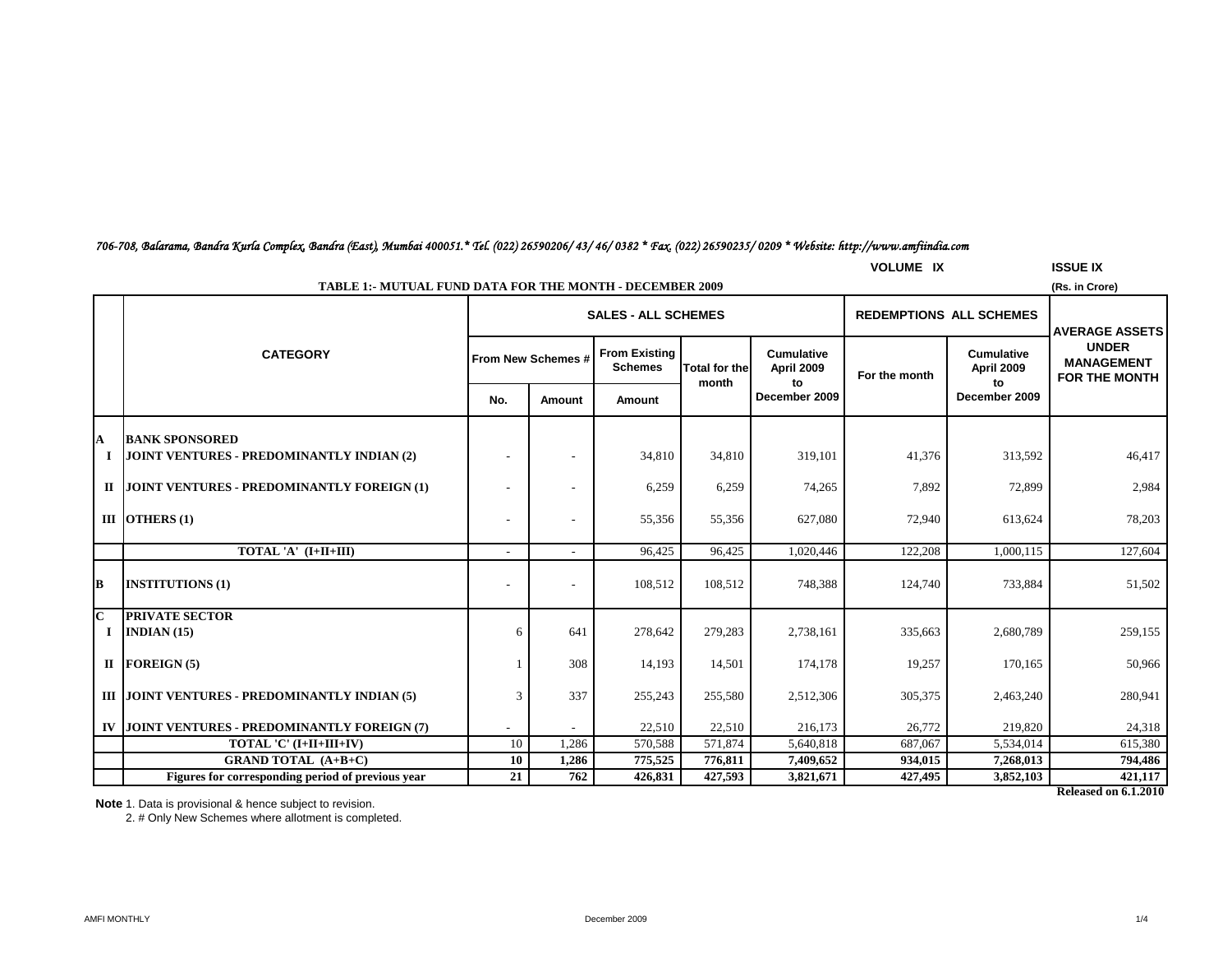| 706-708, Balarama, Bandra Kurla Complex, Bandra (East), Mumbai 400051.* Tel. (022) 26590206/ 43/ 46/ 0382 * Fax, (022) 26590235/ 0209 * Website: http://www.amfiindia.com |  |  |  |
|---------------------------------------------------------------------------------------------------------------------------------------------------------------------------|--|--|--|
|---------------------------------------------------------------------------------------------------------------------------------------------------------------------------|--|--|--|

|                    | <b>VOLUME IX</b><br><b>ISSUE IX</b>                                               |                          |                            |                                        |                               |                                 |               |                                 |                                                                             |  |  |  |
|--------------------|-----------------------------------------------------------------------------------|--------------------------|----------------------------|----------------------------------------|-------------------------------|---------------------------------|---------------|---------------------------------|-----------------------------------------------------------------------------|--|--|--|
|                    | <b>TABLE 1:- MUTUAL FUND DATA FOR THE MONTH - DECEMBER 2009</b><br>(Rs. in Crore) |                          |                            |                                        |                               |                                 |               |                                 |                                                                             |  |  |  |
|                    |                                                                                   |                          | <b>SALES - ALL SCHEMES</b> |                                        |                               |                                 |               | <b>REDEMPTIONS ALL SCHEMES</b>  |                                                                             |  |  |  |
|                    | <b>CATEGORY</b>                                                                   |                          | From New Schemes #         | <b>From Existing</b><br><b>Schemes</b> | <b>Total for the</b><br>month | <b>Cumulative</b><br>April 2009 | For the month | <b>Cumulative</b><br>April 2009 | <b>AVERAGE ASSETS</b><br><b>UNDER</b><br><b>MANAGEMENT</b><br>FOR THE MONTH |  |  |  |
|                    |                                                                                   | No.                      | Amount                     | Amount                                 |                               | to<br>December 2009             |               | to<br>December 2009             |                                                                             |  |  |  |
|                    |                                                                                   |                          |                            |                                        |                               |                                 |               |                                 |                                                                             |  |  |  |
| A<br>$\bf{I}$      | <b>BANK SPONSORED</b><br>JOINT VENTURES - PREDOMINANTLY INDIAN (2)                |                          |                            | 34,810                                 | 34,810                        | 319,101                         | 41,376        | 313,592                         | 46,417                                                                      |  |  |  |
| $\mathbf{I}$       | JOINT VENTURES - PREDOMINANTLY FOREIGN (1)                                        |                          |                            | 6,259                                  | 6,259                         | 74,265                          | 7,892         | 72,899                          | 2,984                                                                       |  |  |  |
|                    | III OTHERS $(1)$                                                                  |                          |                            | 55,356                                 | 55,356                        | 627,080                         | 72,940        | 613,624                         | 78,203                                                                      |  |  |  |
|                    | TOTAL 'A' (I+II+III)                                                              | $\overline{\phantom{a}}$ |                            | 96,425                                 | 96,425                        | 1,020,446                       | 122,208       | 1,000,115                       | 127,604                                                                     |  |  |  |
| lВ                 | <b>INSTITUTIONS (1)</b>                                                           |                          |                            | 108,512                                | 108,512                       | 748,388                         | 124,740       | 733,884                         | 51,502                                                                      |  |  |  |
| $\mathbf{C}$<br>Т. | <b>PRIVATE SECTOR</b><br>INDIAN $(15)$                                            | 6                        | 641                        | 278,642                                | 279,283                       | 2,738,161                       | 335,663       | 2,680,789                       | 259,155                                                                     |  |  |  |
|                    | $II$ FOREIGN (5)                                                                  |                          | 308                        | 14,193                                 | 14,501                        | 174,178                         | 19,257        | 170,165                         | 50,966                                                                      |  |  |  |
|                    | III JOINT VENTURES - PREDOMINANTLY INDIAN (5)                                     | 3                        | 337                        | 255,243                                | 255,580                       | 2,512,306                       | 305,375       | 2,463,240                       | 280,941                                                                     |  |  |  |
| IV                 | JOINT VENTURES - PREDOMINANTLY FOREIGN (7)                                        |                          |                            | 22,510                                 | 22,510                        | 216,173                         | 26,772        | 219,820                         | 24,318                                                                      |  |  |  |
|                    | TOTAL 'C' (I+II+III+IV)                                                           | 10                       | 1,286                      | 570,588                                | 571,874                       | 5,640,818                       | 687,067       | 5,534,014                       | 615,380                                                                     |  |  |  |
|                    | <b>GRAND TOTAL (A+B+C)</b>                                                        | 10                       | 1,286                      | 775,525                                | 776,811                       | 7,409,652                       | 934,015       | 7,268,013                       | 794,486                                                                     |  |  |  |
|                    | Figures for corresponding period of previous year                                 | 21                       | 762                        | 426,831                                | 427,593                       | 3,821,671                       | 427,495       | 3,852,103                       | 421,117                                                                     |  |  |  |

**Released on 6.1.2010**

**Note** 1. Data is provisional & hence subject to revision.

2. # Only New Schemes where allotment is completed.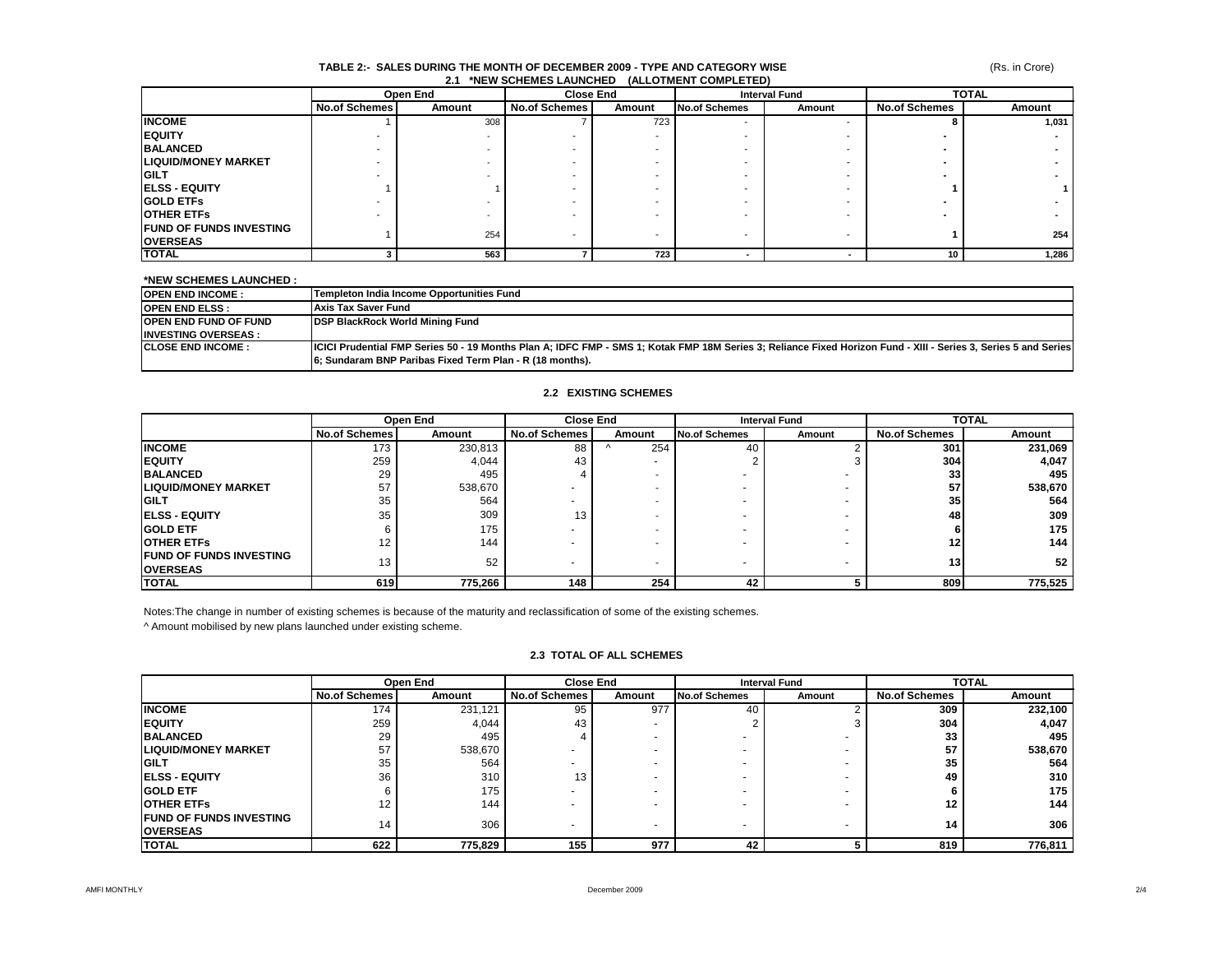#### (Rs. in Crore)

#### **TABLE 2:- SALES DURING THE MONTH OF DECEMBER 2009 - TYPE AND CATEGORY WISE 2.1 \*NEW SCHEMES LAUNCHED (ALLOTMENT COMPLETED)**

|                                 |                      | Open End | <b>Close End</b>     |        | <b>Interval Fund</b> |        | <b>TOTAL</b>         |        |
|---------------------------------|----------------------|----------|----------------------|--------|----------------------|--------|----------------------|--------|
|                                 | <b>No.of Schemes</b> | Amount   | <b>No.of Schemes</b> | Amount | No.of Schemes        | Amount | <b>No.of Schemes</b> | Amount |
| <b>INCOME</b>                   |                      | 308      |                      | 723    |                      |        |                      | 1,031  |
| <b>IEQUITY</b>                  |                      |          |                      |        |                      |        |                      |        |
| <b>BALANCED</b>                 |                      |          |                      |        |                      |        |                      |        |
| <b>LIQUID/MONEY MARKET</b>      |                      |          |                      |        |                      |        |                      |        |
| <b>IGILT</b>                    |                      |          |                      |        |                      |        |                      |        |
| <b>IELSS - EQUITY</b>           |                      |          |                      |        |                      |        |                      |        |
| <b>IGOLD ETFS</b>               |                      |          |                      |        |                      |        |                      |        |
| <b>OTHER ETFS</b>               |                      |          |                      |        |                      |        |                      |        |
| <b>IFUND OF FUNDS INVESTING</b> |                      | 254      |                      |        |                      |        |                      | 254    |
| <b>OVERSEAS</b>                 |                      |          |                      |        |                      |        |                      |        |
| <b>TOTAL</b>                    |                      | 563      |                      | 723    |                      |        | 10                   | 1,286  |

#### **\*NEW SCHEMES LAUNCHED :**

| <b>IOPEN END INCOME:</b>     | Templeton India Income Opportunities Fund                                                                                                                       |
|------------------------------|-----------------------------------------------------------------------------------------------------------------------------------------------------------------|
| <b>IOPEN END ELSS:</b>       | Axis Tax Saver Fund                                                                                                                                             |
| <b>OPEN END FUND OF FUND</b> | <b>DSP BlackRock World Mining Fund</b>                                                                                                                          |
| <b>INVESTING OVERSEAS:</b>   |                                                                                                                                                                 |
| <b>ICLOSE END INCOME:</b>    | ICICI Prudential FMP Series 50 - 19 Months Plan A; IDFC FMP - SMS 1; Kotak FMP 18M Series 3; Reliance Fixed Horizon Fund - XIII - Series 3, Series 5 and Series |
|                              | 6; Sundaram BNP Paribas Fixed Term Plan - R (18 months).                                                                                                        |

#### **2.2 EXISTING SCHEMES**

|                                 |                      | Open End | <b>Close End</b>     |        | <b>Interval Fund</b> |                                | <b>TOTAL</b>    |         |
|---------------------------------|----------------------|----------|----------------------|--------|----------------------|--------------------------------|-----------------|---------|
|                                 | <b>No.of Schemes</b> | Amount   | <b>No.of Schemes</b> | Amount |                      | <b>No.of Schemes</b><br>Amount |                 | Amount  |
| <b>INCOME</b>                   | 173                  | 230,813  | 88                   | 254    | 40                   |                                | 301             | 231,069 |
| <b>IEQUITY</b>                  | 259                  | 4,044    | 43                   |        |                      |                                | 304             | 4,047   |
| <b>BALANCED</b>                 | 29                   | 495      |                      |        |                      |                                | 33              | 495     |
| <b>LIQUID/MONEY MARKET</b>      | 57                   | 538,670  |                      |        |                      |                                | 57              | 538,670 |
| <b>IGILT</b>                    | 35                   | 564      |                      |        |                      |                                | 35 <sub>1</sub> | 564     |
| <b>IELSS - EQUITY</b>           | 35                   | 309      | 13                   |        |                      |                                | 48              | 309     |
| <b>IGOLD ETF</b>                |                      | 175      |                      |        |                      |                                |                 | 175     |
| <b>OTHER ETFS</b>               | 12                   | 144      |                      |        |                      |                                | 12              | 144     |
| <b>IFUND OF FUNDS INVESTING</b> | 13                   | 52       |                      |        |                      |                                | 13.             | 52      |
| <b>OVERSEAS</b>                 |                      |          |                      |        |                      |                                |                 |         |
| <b>TOTAL</b>                    | 619                  | 775,266  | 148                  | 254    | 42                   |                                | 809             | 775,525 |

Notes:The change in number of existing schemes is because of the maturity and reclassification of some of the existing schemes.

^ Amount mobilised by new plans launched under existing scheme.

#### **2.3 TOTAL OF ALL SCHEMES**

|                                 |                      | Open End | <b>Close End</b>     |        | <b>Interval Fund</b>     |        | <b>TOTAL</b>         |         |
|---------------------------------|----------------------|----------|----------------------|--------|--------------------------|--------|----------------------|---------|
|                                 | <b>No.of Schemes</b> | Amount   | <b>No.of Schemes</b> | Amount | <b>No.of Schemes</b>     | Amount | <b>No.of Schemes</b> | Amount  |
| <b>INCOME</b>                   | 174                  | 231.121  | 95                   | 977    | 40                       |        | 309                  | 232,100 |
| <b>IEQUITY</b>                  | 259                  | 4.044    | 43                   |        |                          |        | 304                  | 4,047   |
| <b>BALANCED</b>                 | 29                   | 495      |                      |        |                          |        | 33                   | 495     |
| <b>LIQUID/MONEY MARKET</b>      | 57                   | 538,670  |                      |        |                          |        | 57                   | 538,670 |
| <b>GILT</b>                     | 35                   | 564      |                      |        |                          |        | 35                   | 564     |
| <b>IELSS - EQUITY</b>           | 36                   | 310      | 13                   |        |                          |        | 49                   | 310     |
| <b>GOLD ETF</b>                 |                      | 175      |                      |        |                          |        |                      | 175     |
| <b>OTHER ETFS</b>               | 12                   | 144      |                      |        |                          |        | 12                   | 144     |
| <b>IFUND OF FUNDS INVESTING</b> | 14                   | 306      |                      |        | $\overline{\phantom{a}}$ |        | 14                   | 306     |
| <b>OVERSEAS</b>                 |                      |          |                      |        |                          |        |                      |         |
| <b>TOTAL</b>                    | 622                  | 775,829  | 155                  | 977    | 42                       |        | 819                  | 776,811 |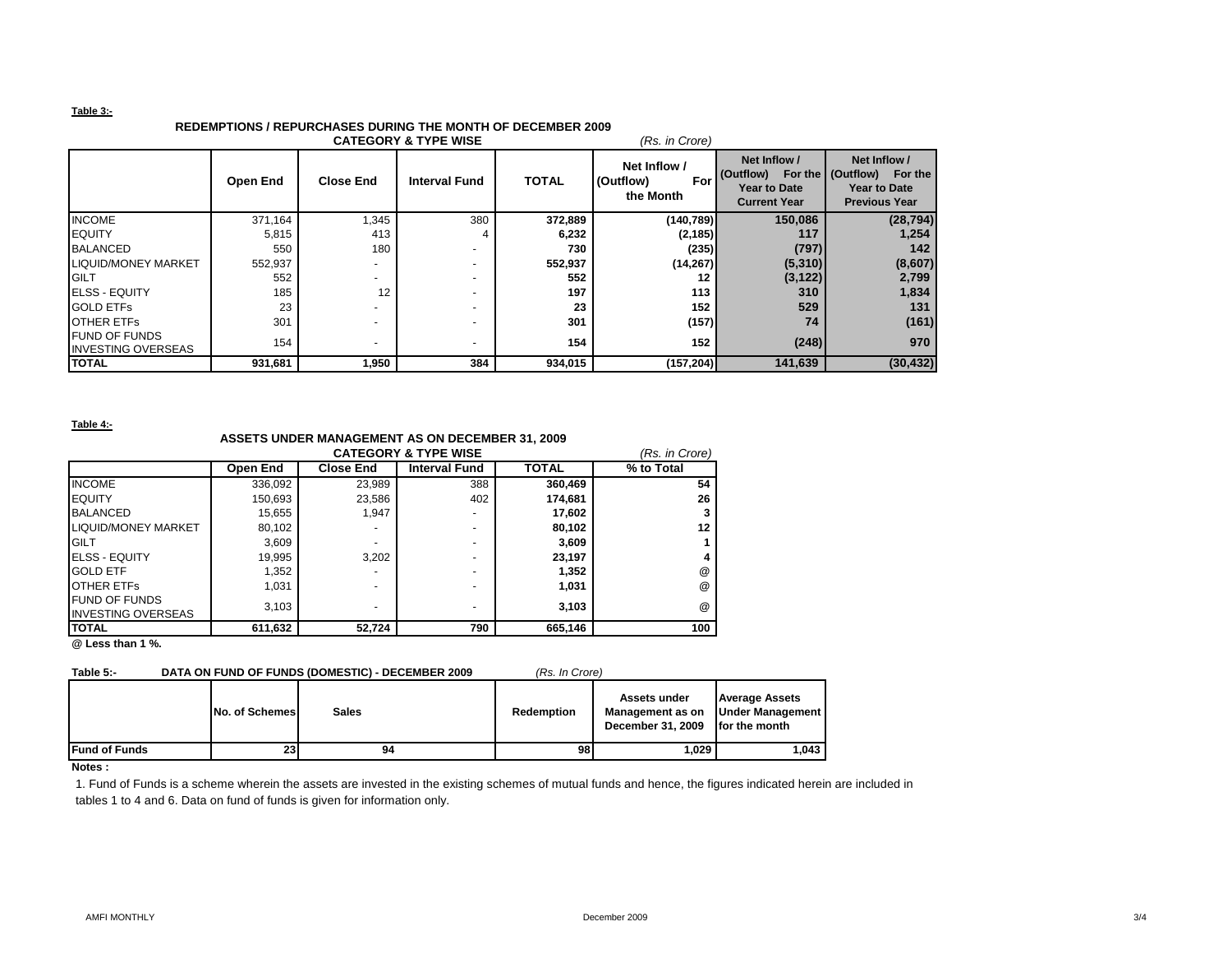#### **Table 3:-**

#### **REDEMPTIONS / REPURCHASES DURING THE MONTH OF DECEMBER 2009 CATEGORY & TYPE WISE** *(Rs. in Crore)*

| <b>UAILGURY &amp; IYPE WISE</b><br>(RS. In Grore) |          |                          |                      |              |                                               |                                                                         |                                                                                               |  |
|---------------------------------------------------|----------|--------------------------|----------------------|--------------|-----------------------------------------------|-------------------------------------------------------------------------|-----------------------------------------------------------------------------------------------|--|
|                                                   | Open End | <b>Close End</b>         | <b>Interval Fund</b> | <b>TOTAL</b> | Net Inflow /<br>(Outflow)<br>For<br>the Month | Net Inflow /<br>(Outflow)<br><b>Year to Date</b><br><b>Current Year</b> | Net Inflow /<br>For the   (Outflow)<br>For the<br><b>Year to Date</b><br><b>Previous Year</b> |  |
| <b>INCOME</b>                                     | 371,164  | 1,345                    | 380                  | 372,889      | (140, 789)                                    | 150,086                                                                 | (28, 794)                                                                                     |  |
| <b>EQUITY</b>                                     | 5,815    | 413                      |                      | 6,232        | (2, 185)                                      | 117                                                                     | 1,254                                                                                         |  |
| <b>BALANCED</b>                                   | 550      | 180                      |                      | 730          | (235)                                         | (797)                                                                   | 142                                                                                           |  |
| <b>LIQUID/MONEY MARKET</b>                        | 552,937  | $\overline{\phantom{0}}$ |                      | 552,937      | (14,267)                                      | (5,310)                                                                 | (8,607)                                                                                       |  |
| <b>IGILT</b>                                      | 552      |                          |                      | 552          | 12                                            | (3, 122)                                                                | 2,799                                                                                         |  |
| <b>IELSS - EQUITY</b>                             | 185      | 12                       |                      | 197          | 113                                           | 310                                                                     | 1,834                                                                                         |  |
| <b>GOLD ETFS</b>                                  | 23       | $\overline{\phantom{a}}$ |                      | 23           | 152                                           | 529                                                                     | 131                                                                                           |  |
| <b>OTHER ETFS</b>                                 | 301      | $\overline{\phantom{0}}$ |                      | 301          | (157)                                         | 74                                                                      | (161)                                                                                         |  |
| <b>FUND OF FUNDS</b><br><b>INVESTING OVERSEAS</b> | 154      | ٠                        |                      | 154          | 152                                           | (248)                                                                   | 970                                                                                           |  |
| <b>TOTAL</b>                                      | 931,681  | 1,950                    | 384                  | 934,015      | (157, 204)                                    | 141,639                                                                 | (30, 432)                                                                                     |  |

**Table 4:-**

### **ASSETS UNDER MANAGEMENT AS ON DECEMBER 31, 2009**

|                            |          | (Rs. in Crore)   |                      |              |                      |
|----------------------------|----------|------------------|----------------------|--------------|----------------------|
|                            | Open End | <b>Close End</b> | <b>Interval Fund</b> | <b>TOTAL</b> | % to Total           |
| <b>INCOME</b>              | 336,092  | 23,989           | 388                  | 360,469      | 54                   |
| <b>EQUITY</b>              | 150,693  | 23,586           | 402                  | 174,681      | 26                   |
| <b>BALANCED</b>            | 15,655   | 1.947            | ٠                    | 17,602       |                      |
| <b>LIQUID/MONEY MARKET</b> | 80,102   |                  | ٠                    | 80,102       | 12                   |
| <b>GILT</b>                | 3,609    |                  | -                    | 3,609        |                      |
| <b>IELSS - EQUITY</b>      | 19,995   | 3.202            | ٠                    | 23,197       |                      |
| <b>GOLD ETF</b>            | 1,352    |                  | ٠                    | 1.352        | @                    |
| <b>OTHER ETFS</b>          | 1.031    | -                | -                    | 1,031        | $^{\textregistered}$ |
| <b>FUND OF FUNDS</b>       | 3,103    | -                | ٠                    | 3.103        | $^{\textregistered}$ |
| <b>INVESTING OVERSEAS</b>  |          |                  |                      |              |                      |
| <b>TOTAL</b>               | 611,632  | 52,724           | 790                  | 665,146      | 100                  |

**@ Less than 1 %.**

## **Table 5:- DATA ON FUND OF FUNDS (DOMESTIC) - DECEMBER 2009** *(Rs. In Crore)*

|  | (RS. IN Cro |  |
|--|-------------|--|
|  |             |  |
|  |             |  |

|                      | No. of Schemes | Sales | <b>Redemption</b> | Assets under<br>Management as on<br>December 31, 2009 | <b>Average Assets</b><br><b>Under Management</b><br>for the month |
|----------------------|----------------|-------|-------------------|-------------------------------------------------------|-------------------------------------------------------------------|
| <b>Fund of Funds</b> | 23             | 94    | 98                | 1.029                                                 | 1.043                                                             |

**Notes :**

1. Fund of Funds is a scheme wherein the assets are invested in the existing schemes of mutual funds and hence, the figures indicated herein are included in tables 1 to 4 and 6. Data on fund of funds is given for information only.